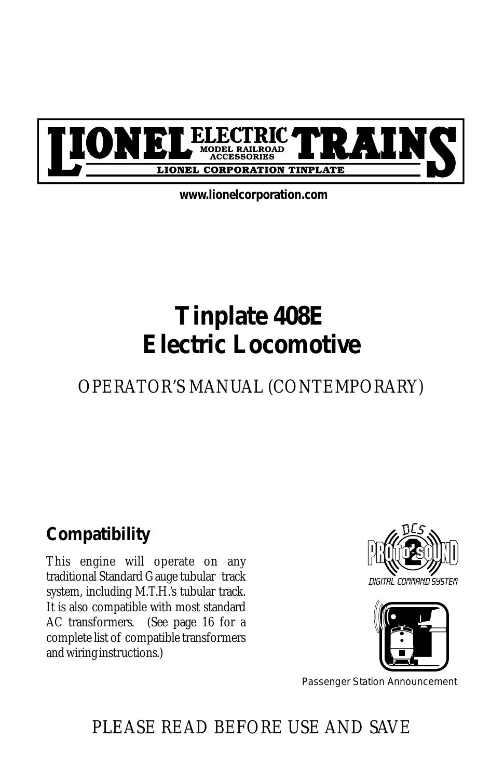

*www.lionelcorporation.com*

# *Tinplate 408E Electric Locomotive*

#### *OPERATOR'S MANUAL (CONTEMPORARY)*

#### *Compatibility*

*This engine will operate on any traditional Standard Gauge tubular track system, including M.T.H.'s tubular track. It is also compatible with most standard AC transformers. (See page 16 for a complete list of compatible transformers and wiring instructions.)*





Passenger Station Announcement

### *PLEASE READ BEFORE USE AND SAVE*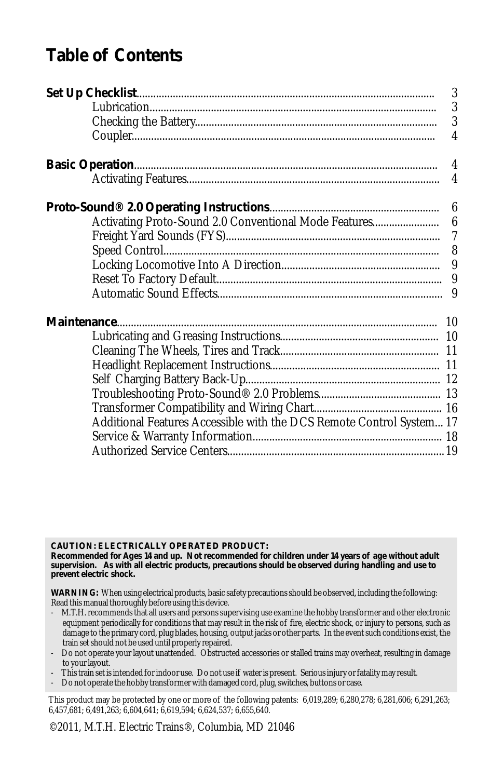#### *Table of Contents*

| Additional Features Accessible with the DCS Remote Control System 17 |  |
|----------------------------------------------------------------------|--|
|                                                                      |  |
|                                                                      |  |
|                                                                      |  |

*CAUTION: ELECTRICALLY OPERATED PRODUCT:*

Recommended for Ages 14 and up. Not recommended for children under 14 years of age without adult<br>supervision. As with all electric products, precautions should be observed during handling and use to *prevent electric shock.*

*WARNING: When using electrical products, basic safety precautions should be observed, including the following: Read this manual thoroughly before using this device.*

- *- M.T.H. recommends that all users and persons supervising use examine the hobby transformer and other electronic equipment periodically for conditions that may result in the risk of fire, electric shock, or injury to persons, such as*  damage to the primary cord, plug blades, housing, output jacks or other parts. In the event such conditions exist, the *train set should not be used until properly repaired.*
- *- Do not operate your layout unattended. Obstructed accessories or stalled trains may overheat, resulting in damage to your layout.*
- *- This train set is intended for indoor use. Do not use if water is present. Serious injury or fatality may result.*
- *- Do not operate the hobby transformer with damaged cord, plug, switches, buttons or case.*

*This product may be protected by one or more of the following patents: 6,019,289; 6,280,278; 6,281,606; 6,291,263; 6,457,681; 6,491,263; 6,604,641; 6,619,594; 6,624,537; 6,655,640.*

*©2011, M.T.H. Electric Trains®, Columbia, MD 21046*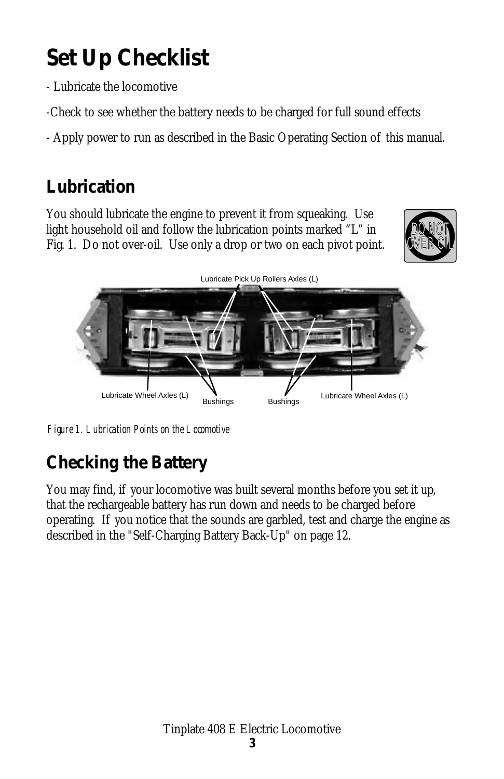# *Set Up Checklist*

*- Lubricate the locomotive*

*-Check to see whether the battery needs to be charged for full sound effects*

*- Apply power to run as described in the Basic Operating Section of this manual.*

## *Lubrication*

*You should lubricate the engine to prevent it from squeaking. Use*  light household oil and follow the lubrication points marked "L" in *Fig. 1. Do not over-oil. Use only a drop or two on each pivot point.*





*Figure 1. Lubrication Points on the Locomotive*

## *Checking the Battery*

*You may find, if your locomotive was built several months before you set it up, that the rechargeable battery has run down and needs to be charged before operating. If you notice that the sounds are garbled, test and charge the engine as described in the "Self-Charging Battery Back-Up" on page 12.*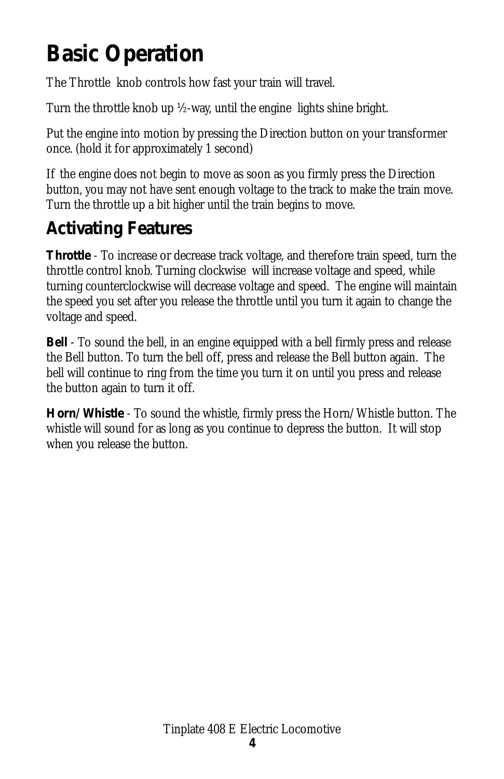# *Basic Operation*

*The Throttle knob controls how fast your train will travel.* 

*Turn the throttle knob up ½-way, until the engine lights shine bright.* 

*Put the engine into motion by pressing the Direction button on your transformer once. (hold it for approximately 1 second)*

*If the engine does not begin to move as soon as you firmly press the Direction button, you may not have sent enough voltage to the track to make the train move. Turn the throttle up a bit higher until the train begins to move.*

#### *Activating Features*

*Throttle - To increase or decrease track voltage, and therefore train speed, turn the throttle control knob. Turning clockwise will increase voltage and speed, while turning counterclockwise will decrease voltage and speed. The engine will maintain the speed you set after you release the throttle until you turn it again to change the voltage and speed.*

*Bell - To sound the bell, in an engine equipped with a bell firmly press and release the Bell button. To turn the bell off, press and release the Bell button again. The bell will continue to ring from the time you turn it on until you press and release the button again to turn it off.* 

*Horn/Whistle - To sound the whistle, firmly press the Horn/Whistle button. The whistle will sound for as long as you continue to depress the button. It will stop when you release the button.*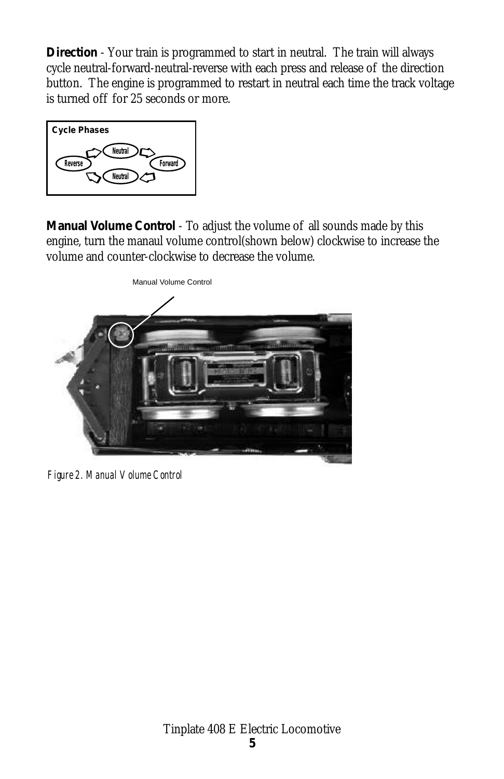*Direction - Your train is programmed to start in neutral. The train will always cycle neutral-forward-neutral-reverse with each press and release of the direction button. The engine is programmed to restart in neutral each time the track voltage is turned off for 25 seconds or more.* 



*Manual Volume Control - To adjust the volume of all sounds made by this engine, turn the manaul volume control(shown below) clockwise to increase the volume and counter-clockwise to decrease the volume.* 



*Figure 2. Manual Volume Control*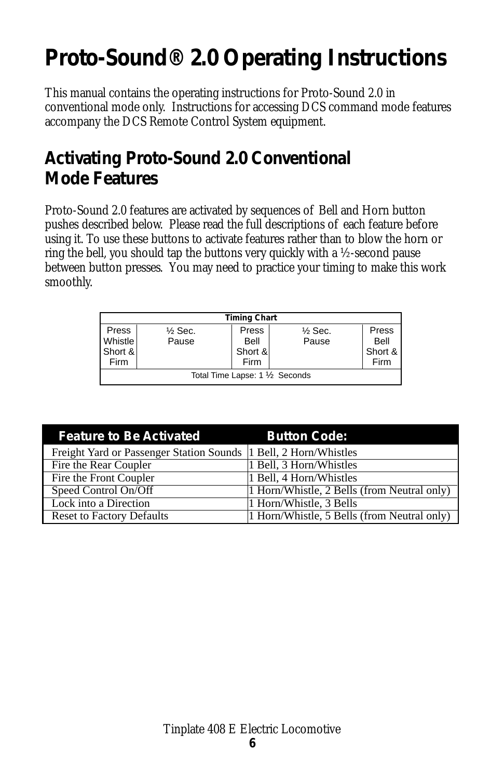# *Proto-Sound® 2.0 Operating Instructions*

*This manual contains the operating instructions for Proto-Sound 2.0 in conventional mode only. Instructions for accessing DCS command mode features accompany the DCS Remote Control System equipment.*

#### *Activating Proto-Sound 2.0 Conventional Mode Features*

*Proto-Sound 2.0 features are activated by sequences of Bell and Horn button pushes described below. Please read the full descriptions of each feature before using it. To use these buttons to activate features rather than to blow the horn or ring the bell, you should tap the buttons very quickly with a ½-second pause between button presses. You may need to practice your timing to make this work smoothly.*

| <b>Timing Chart</b>             |                    |         |                    |         |
|---------------------------------|--------------------|---------|--------------------|---------|
| Press                           | $\frac{1}{2}$ Sec. | Press   | $\frac{1}{2}$ Sec. | Press   |
| Whistle                         | Pause              | Bell    | Pause              | Bell    |
| Short &                         |                    | Short & |                    | Short & |
| Firm                            |                    | Firm    |                    | Firm    |
| Total Time Lapse: 1 1/2 Seconds |                    |         |                    |         |

| <b>Feature to Be Activated</b>                                    | <b>Button Code:</b>                         |
|-------------------------------------------------------------------|---------------------------------------------|
| Freight Yard or Passenger Station Sounds  1 Bell, 2 Horn/Whistles |                                             |
| Fire the Rear Coupler                                             | 1 Bell, 3 Horn/Whistles                     |
| Fire the Front Coupler                                            | 1 Bell, 4 Horn/Whistles                     |
| Speed Control On/Off                                              | 1 Horn/Whistle, 2 Bells (from Neutral only) |
| Lock into a Direction                                             | 1 Horn/Whistle, 3 Bells                     |
| <b>Reset to Factory Defaults</b>                                  | 1 Horn/Whistle, 5 Bells (from Neutral only) |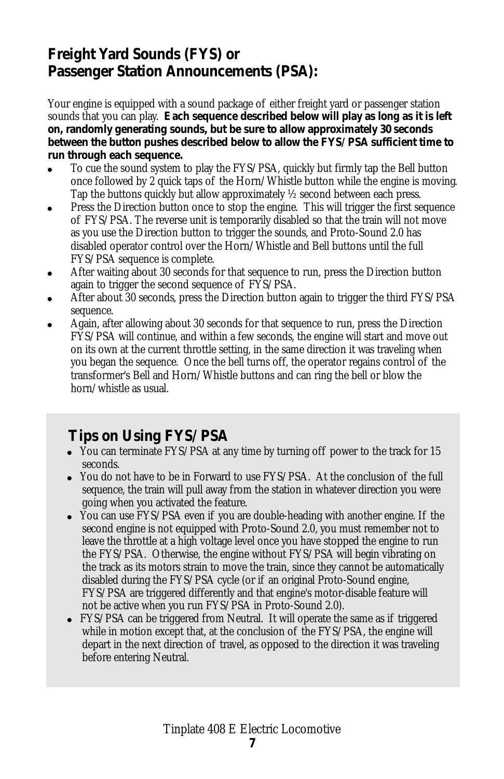#### *Freight Yard Sounds (FYS) or Passenger Station Announcements (PSA):*

*Your engine is equipped with a sound package of either freight yard or passenger station sounds that you can play. Each sequence described below will play as long as it is left on, randomly generating sounds, but be sure to allow approximately 30 seconds between the button pushes described below to allow the FYS/PSA sufficient time to run through each sequence.*

- ! *To cue the sound system to play the FYS/PSA, quickly but firmly tap the Bell button once followed by 2 quick taps of the Horn/Whistle button while the engine is moving. Tap the buttons quickly but allow approximately ½ second between each press.*
- ! *Press the Direction button once to stop the engine. This will trigger the first sequence of FYS/PSA. The reverse unit is temporarily disabled so that the train will not move as you use the Direction button to trigger the sounds, and Proto-Sound 2.0 has disabled operator control over the Horn/Whistle and Bell buttons until the full FYS/PSA sequence is complete.*
- ! *After waiting about 30 seconds for that sequence to run, press the Direction button again to trigger the second sequence of FYS/PSA.*
- ! *After about 30 seconds, press the Direction button again to trigger the third FYS/PSA sequence.*
- ! *Again, after allowing about 30 seconds for that sequence to run, press the Direction FYS/PSA will continue, and within a few seconds, the engine will start and move out on its own at the current throttle setting, in the same direction it was traveling when you began the sequence. Once the bell turns off, the operator regains control of the transformer's Bell and Horn/Whistle buttons and can ring the bell or blow the horn/whistle as usual.*

#### *Tips on Using FYS/PSA*

- ! *You can terminate FYS/PSA at any time by turning off power to the track for 15 seconds.*
- ! *You do not have to be in Forward to use FYS/PSA. At the conclusion of the full sequence, the train will pull away from the station in whatever direction you were*
- *going when you activated the feature.* ! *You can use FYS/PSA even if you are double-heading with another engine. If the second engine is not equipped with Proto-Sound 2.0, you must remember not to leave the throttle at a high voltage level once you have stopped the engine to run the FYS/PSA. Otherwise, the engine without FYS/PSA will begin vibrating on the track as its motors strain to move the train, since they cannot be automatically disabled during the FYS/PSA cycle (or if an original Proto-Sound engine, FYS/PSA are triggered differently and that engine's motor-disable feature will not be active when you run FYS/PSA in Proto-Sound 2.0).*
- ! *FYS/PSA can be triggered from Neutral. It will operate the same as if triggered*  while in motion except that, at the conclusion of the FYS/PSA, the engine will depart in the next direction of travel, as opposed to the direction it was traveling *before entering Neutral.*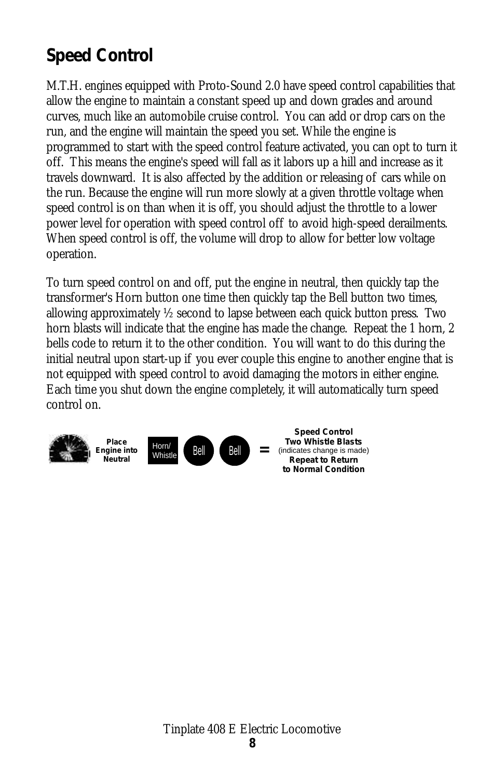#### *Speed Control*

*M.T.H. engines equipped with Proto-Sound 2.0 have speed control capabilities that allow the engine to maintain a constant speed up and down grades and around curves, much like an automobile cruise control. You can add or drop cars on the run, and the engine will maintain the speed you set. While the engine is programmed to start with the speed control feature activated, you can opt to turn it off. This means the engine's speed will fall as it labors up a hill and increase as it travels downward. It is also affected by the addition or releasing of cars while on the run. Because the engine will run more slowly at a given throttle voltage when speed control is on than when it is off, you should adjust the throttle to a lower power level for operation with speed control off to avoid high-speed derailments. When speed control is off, the volume will drop to allow for better low voltage operation.*

*To turn speed control on and off, put the engine in neutral, then quickly tap the transformer's Horn button one time then quickly tap the Bell button two times, allowing approximately ½ second to lapse between each quick button press. Two horn blasts will indicate that the engine has made the change. Repeat the 1 horn, 2* bells code to return it to the other condition. You will want to do this during the *initial neutral upon start-up if you ever couple this engine to another engine that is not equipped with speed control to avoid damaging the motors in either engine. Each time you shut down the engine completely, it will automatically turn speed control on.*

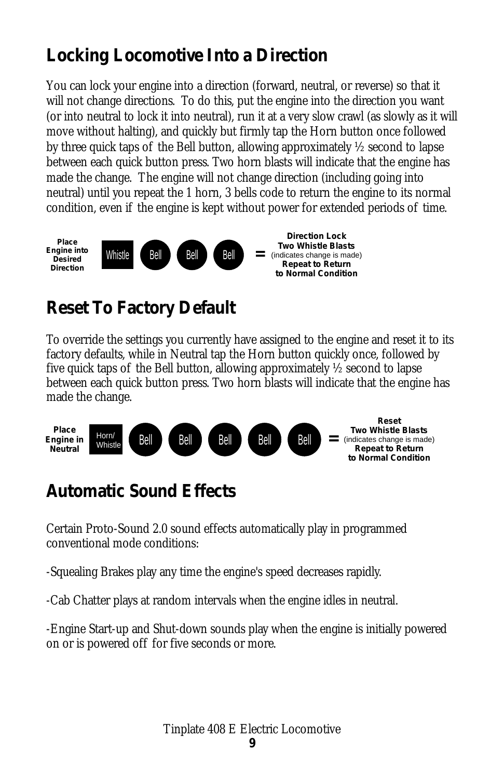#### *Locking Locomotive Into a Direction*

*You can lock your engine into a direction (forward, neutral, or reverse) so that it*  will not change directions. To do this, put the engine into the direction you want *(or into neutral to lock it into neutral), run it at a very slow crawl (as slowly as it will*  move without halting), and quickly but firmly tap the Horn button once followed *by three quick taps of the Bell button, allowing approximately ½ second to lapse between each quick button press. Two horn blasts will indicate that the engine has made the change. The engine will not change direction (including going into neutral*) until you repeat the 1 horn, 3 bells code to return the engine to its normal *condition, even if the engine is kept without power for extended periods of time.*



#### *Reset To Factory Default*

*To override the settings you currently have assigned to the engine and reset it to its factory defaults, while in Neutral tap the Horn button quickly once, followed by five quick taps of the Bell button, allowing approximately ½ second to lapse between each quick button press. Two horn blasts will indicate that the engine has made the change.*



#### *Automatic Sound Effects*

*Certain Proto-Sound 2.0 sound effects automatically play in programmed conventional mode conditions:*

*-Squealing Brakes play any time the engine's speed decreases rapidly.*

*-Cab Chatter plays at random intervals when the engine idles in neutral.*

*-Engine Start-up and Shut-down sounds play when the engine is initially powered on or is powered off for five seconds or more.*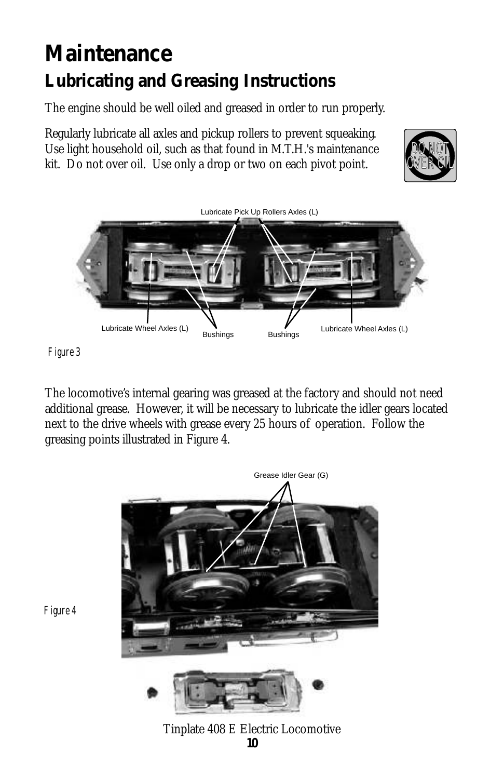## *Maintenance Lubricating and Greasing Instructions*

*The engine should be well oiled and greased in order to run properly.*

*Regularly lubricate all axles and pickup rollers to prevent squeaking. Use light household oil, such as that found in M.T.H.'s maintenance kit. Do not over oil. Use only a drop or two on each pivot point.*





*Figure 3*

*The locomotive's internal gearing was greased at the factory and should not need additional grease. However, it will be necessary to lubricate the idler gears located next to the drive wheels with grease every 25 hours of operation. Follow the greasing points illustrated in Figure 4.*



*Figure 4*

*Tinplate 408 E Electric Locomotive 10*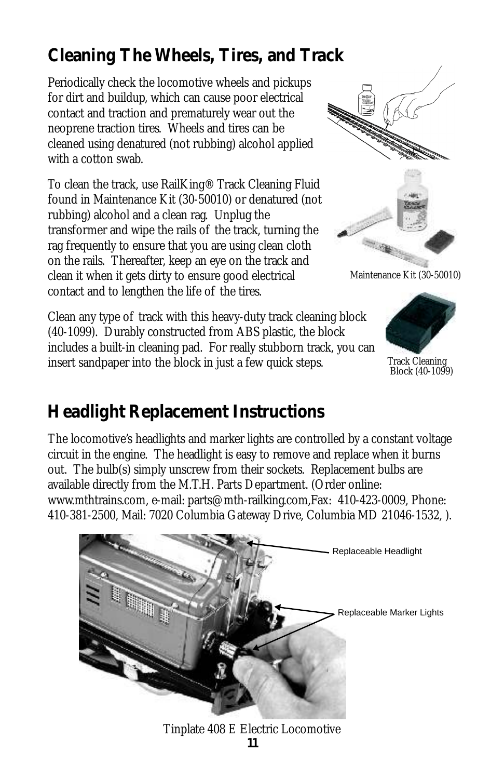## *Cleaning The Wheels, Tires, and Track*

*Periodically check the locomotive wheels and pickups for dirt and buildup, which can cause poor electrical contact and traction and prematurely wear out the neoprene traction tires. Wheels and tires can be cleaned using denatured (not rubbing) alcohol applied with a cotton swab.*

*To clean the track, use RailKing® Track Cleaning Fluid found in Maintenance Kit (30-50010) or denatured (not rubbing) alcohol and a clean rag. Unplug the transformer and wipe the rails of the track, turning the rag frequently to ensure that you are using clean cloth on the rails. Thereafter, keep an eye on the track and clean it when it gets dirty to ensure good electrical contact and to lengthen the life of the tires.*

*Clean any type of track with this heavy-duty track cleaning block ( . Durably constructed from ABS plastic, the block 40-1099) includes a built-in cleaning pad. For really stubborn track, you can insert sandpaper into the block in just a few quick steps.*





 *Maintenance Kit (30-50010)*



*Track Cleaning Block (40-1099)*

#### *Headlight Replacement Instructions*

*The locomotive's headlights and marker lights are controlled by a constant voltage circuit in the engine. The headlight is easy to remove and replace when it burns out. The bulb(s) simply unscrew from their sockets. Replacement bulbs are available directly from the M.T.H. Parts Department. (Order online: www.mthtrains.com, e-mail: parts@mth-railking.com,Fax: 410-423-0009, Phone: 410-381-2500, Mail: 7020 Columbia Gateway Drive, Columbia MD 21046-1532, ).* 



*Tinplate 408 E Electric Locomotive 11*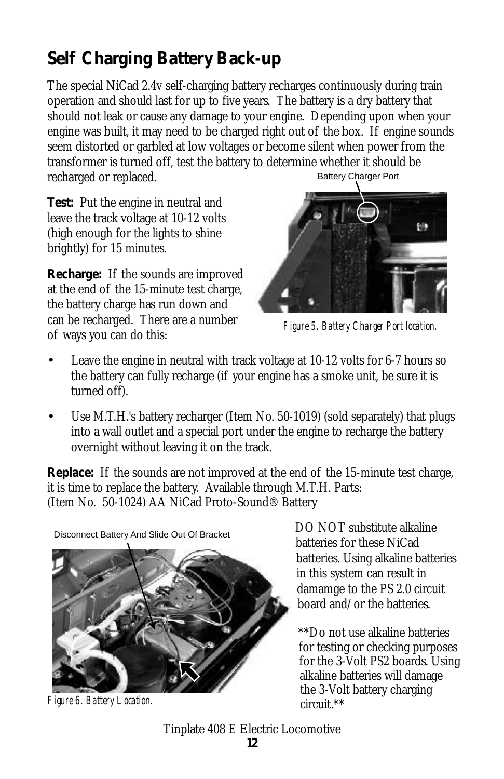## *Self Charging Battery Back-up*

*The special NiCad 2.4v self-charging battery recharges continuously during train operation and should last for up to five years. The battery is a dry battery that should not leak or cause any damage to your engine. Depending upon when your*  engine was built, it may need to be charged right out of the box. If engine sounds *seem distorted or garbled at low voltages or become silent when power from the transformer is turned off, test the battery to determine whether it should be recharged or replaced.* Battery Charger Port

*Test: Put the engine in neutral and leave the track voltage at 10-12 volts (high enough for the lights to shine brightly) for 15 minutes.*

*Recharge: If the sounds are improved at the end of the 15-minute test charge, the battery charge has run down and can be recharged. There are a number of ways you can do this:* 



*Figure 5. Battery Charger Port location.*

- •*Leave the engine in neutral with track voltage at 10-12 volts for 6-7 hours so the battery can fully recharge (if your engine has a smoke unit, be sure it is turned off).*
- •*Use M.T.H.'s battery recharger (Item No. 50-1019) (sold separately) that plugs into a wall outlet and a special port under the engine to recharge the battery overnight without leaving it on the track.*

*Replace: If the sounds are not improved at the end of the 15-minute test charge, it is time to replace the battery. Available through M.T.H. Parts: (Item No. 50-1024) AA NiCad Proto-Sound® Battery* 

Disconnect Battery And Slide Out Of Bracket



*Figure 6. Battery Location.*

*DO NOT substitute alkaline batteries for these NiCad batteries. Using alkaline batteries in this system can result in damamge to the PS 2.0 circuit board and/or the batteries.* 

*\*\*Do not use alkaline batteries for testing or checking purposes for the 3-Volt PS2 boards. Using alkaline batteries will damage the 3-Volt battery charging circuit.\*\**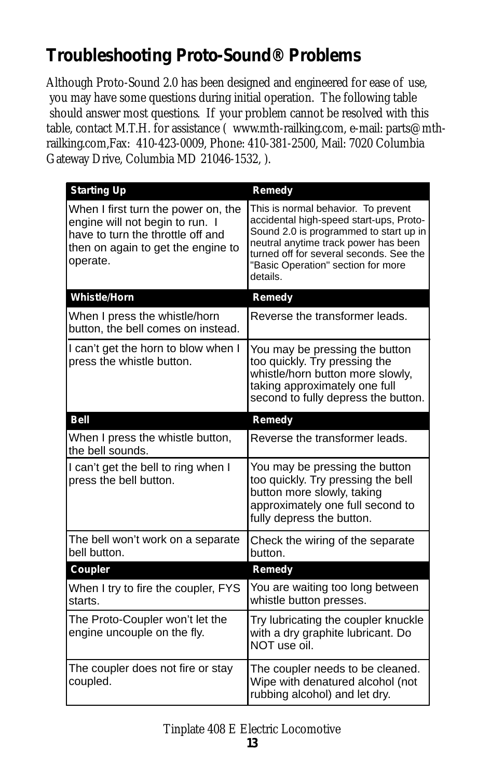## *Troubleshooting Proto-Sound® Problems*

*Although Proto-Sound 2.0 has been designed and engineered for ease of use, you may have some questions during initial operation. The following table should answer most questions. If your problem cannot be resolved with this table, contact M.T.H. for assistance ( www.mth-railking.com, e-mail: parts@mthrailking.com,Fax: 410-423-0009, Phone: 410-381-2500, Mail: 7020 Columbia Gateway Drive, Columbia MD 21046-1532, ).* 

| <b>Starting Up</b>                                                                                                                                            | Remedy                                                                                                                                                                                                                                                        |
|---------------------------------------------------------------------------------------------------------------------------------------------------------------|---------------------------------------------------------------------------------------------------------------------------------------------------------------------------------------------------------------------------------------------------------------|
| When I first turn the power on, the<br>engine will not begin to run. I<br>have to turn the throttle off and<br>then on again to get the engine to<br>operate. | This is normal behavior. To prevent<br>accidental high-speed start-ups, Proto-<br>Sound 2.0 is programmed to start up in<br>neutral anytime track power has been<br>turned off for several seconds. See the<br>"Basic Operation" section for more<br>details. |
| <b>Whistle/Horn</b>                                                                                                                                           | Remedy                                                                                                                                                                                                                                                        |
| When I press the whistle/horn<br>button, the bell comes on instead.                                                                                           | Reverse the transformer leads.                                                                                                                                                                                                                                |
| I can't get the horn to blow when I<br>press the whistle button.                                                                                              | You may be pressing the button<br>too quickly. Try pressing the<br>whistle/horn button more slowly,<br>taking approximately one full<br>second to fully depress the button.                                                                                   |
| <b>Bell</b>                                                                                                                                                   | Remedy                                                                                                                                                                                                                                                        |
| When I press the whistle button,<br>the bell sounds.                                                                                                          | Reverse the transformer leads.                                                                                                                                                                                                                                |
| I can't get the bell to ring when I<br>press the bell button.                                                                                                 | You may be pressing the button<br>too quickly. Try pressing the bell<br>button more slowly, taking<br>approximately one full second to<br>fully depress the button.                                                                                           |
| The bell won't work on a separate<br>bell button.                                                                                                             | Check the wiring of the separate<br>button.                                                                                                                                                                                                                   |
| Coupler                                                                                                                                                       | Remedy                                                                                                                                                                                                                                                        |
| When I try to fire the coupler, FYS<br>starts.                                                                                                                | You are waiting too long between<br>whistle button presses.                                                                                                                                                                                                   |
| The Proto-Coupler won't let the<br>engine uncouple on the fly.                                                                                                | Try lubricating the coupler knuckle<br>with a dry graphite lubricant. Do<br>NOT use oil.                                                                                                                                                                      |
| The coupler does not fire or stay<br>coupled.                                                                                                                 | The coupler needs to be cleaned.<br>Wipe with denatured alcohol (not<br>rubbing alcohol) and let dry.                                                                                                                                                         |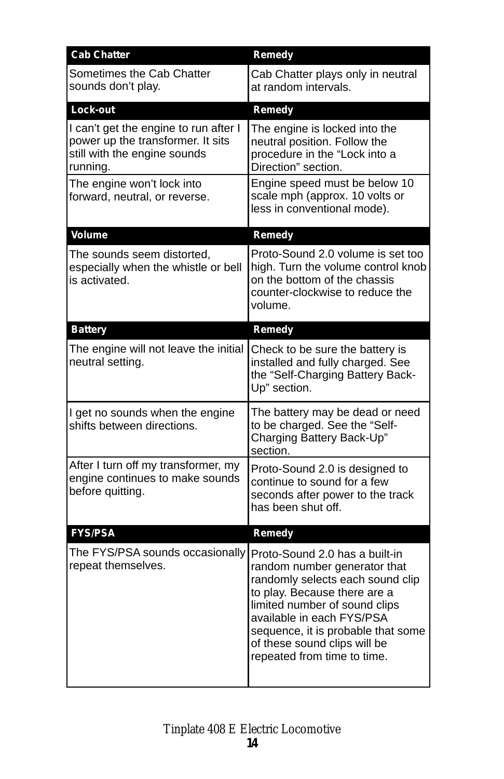| <b>Cab Chatter</b>                                                                                                     | Remedy                                                                                                                                                                                                                                                                                                |
|------------------------------------------------------------------------------------------------------------------------|-------------------------------------------------------------------------------------------------------------------------------------------------------------------------------------------------------------------------------------------------------------------------------------------------------|
| Sometimes the Cab Chatter<br>sounds don't play.                                                                        | Cab Chatter plays only in neutral<br>at random intervals.                                                                                                                                                                                                                                             |
| Lock-out                                                                                                               | Remedy                                                                                                                                                                                                                                                                                                |
| I can't get the engine to run after I<br>power up the transformer. It sits<br>still with the engine sounds<br>running. | The engine is locked into the<br>neutral position. Follow the<br>procedure in the "Lock into a<br>Direction" section.                                                                                                                                                                                 |
| The engine won't lock into<br>forward, neutral, or reverse.                                                            | Engine speed must be below 10<br>scale mph (approx. 10 volts or<br>less in conventional mode).                                                                                                                                                                                                        |
| Volume                                                                                                                 | Remedy                                                                                                                                                                                                                                                                                                |
| The sounds seem distorted,<br>especially when the whistle or bell<br>is activated.                                     | Proto-Sound 2.0 volume is set too<br>high. Turn the volume control knob<br>on the bottom of the chassis<br>counter-clockwise to reduce the<br>volume.                                                                                                                                                 |
| <b>Battery</b>                                                                                                         | Remedy                                                                                                                                                                                                                                                                                                |
| The engine will not leave the initial<br>neutral setting.                                                              | Check to be sure the battery is<br>installed and fully charged. See<br>the "Self-Charging Battery Back-<br>Up" section.                                                                                                                                                                               |
| I get no sounds when the engine<br>shifts between directions.                                                          | The battery may be dead or need<br>to be charged. See the "Self-<br>Charging Battery Back-Up"<br>section.                                                                                                                                                                                             |
| After I turn off my transformer, my<br>engine continues to make sounds<br>before quitting.                             | Proto-Sound 2.0 is designed to<br>continue to sound for a few<br>seconds after power to the track<br>has been shut off.                                                                                                                                                                               |
| <b>FYS/PSA</b>                                                                                                         | Remedy                                                                                                                                                                                                                                                                                                |
| The FYS/PSA sounds occasionally<br>repeat themselves.                                                                  | Proto-Sound 2.0 has a built-in<br>random number generator that<br>randomly selects each sound clip<br>to play. Because there are a<br>limited number of sound clips<br>available in each FYS/PSA<br>sequence, it is probable that some<br>of these sound clips will be<br>repeated from time to time. |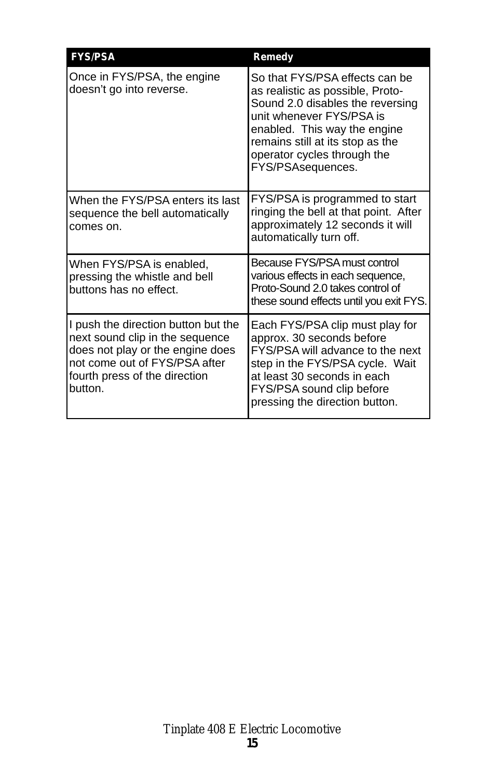| <b>FYS/PSA</b>                                                                                                                                                                          | Remedy                                                                                                                                                                                                                                                     |
|-----------------------------------------------------------------------------------------------------------------------------------------------------------------------------------------|------------------------------------------------------------------------------------------------------------------------------------------------------------------------------------------------------------------------------------------------------------|
| Once in FYS/PSA, the engine<br>doesn't go into reverse.                                                                                                                                 | So that FYS/PSA effects can be<br>as realistic as possible, Proto-<br>Sound 2.0 disables the reversing<br>unit whenever FYS/PSA is<br>enabled. This way the engine<br>remains still at its stop as the<br>operator cycles through the<br>FYS/PSAsequences. |
| When the FYS/PSA enters its last<br>sequence the bell automatically<br>comes on.                                                                                                        | FYS/PSA is programmed to start<br>ringing the bell at that point. After<br>approximately 12 seconds it will<br>automatically turn off.                                                                                                                     |
| When FYS/PSA is enabled,<br>pressing the whistle and bell<br>buttons has no effect.                                                                                                     | Because FYS/PSA must control<br>various effects in each sequence,<br>Proto-Sound 2.0 takes control of<br>these sound effects until you exit FYS.                                                                                                           |
| I push the direction button but the<br>next sound clip in the sequence<br>does not play or the engine does<br>not come out of FYS/PSA after<br>fourth press of the direction<br>button. | Each FYS/PSA clip must play for<br>approx. 30 seconds before<br>FYS/PSA will advance to the next<br>step in the FYS/PSA cycle. Wait<br>at least 30 seconds in each<br>FYS/PSA sound clip before<br>pressing the direction button.                          |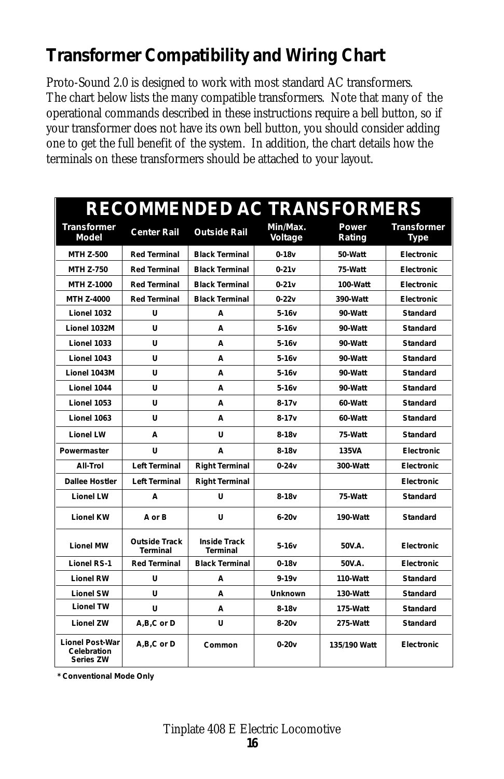## *Transformer Compatibility and Wiring Chart*

*Proto-Sound 2.0 is designed to work with most standard AC transformers. The chart below lists the many compatible transformers. Note that many of the operational commands described in these instructions require a bell button, so if your transformer does not have its own bell button, you should consider adding one to get the full benefit of the system. In addition, the chart details how the terminals on these transformers should be attached to your layout.* 

|                                                    |                                  | <b>RECOMMENDED AC TRANSFORMERS</b> |                     |                 |                                   |
|----------------------------------------------------|----------------------------------|------------------------------------|---------------------|-----------------|-----------------------------------|
| Transformer<br>Model                               | <b>Center Rail</b>               | <b>Outside Rail</b>                | Min/Max.<br>Voltage | Power<br>Rating | <b>Transformer</b><br><b>Type</b> |
| <b>MTH Z-500</b>                                   | <b>Red Terminal</b>              | <b>Black Terminal</b>              | $0-18v$             | 50-Watt         | <b>Electronic</b>                 |
| <b>MTH Z-750</b>                                   | <b>Red Terminal</b>              | <b>Black Terminal</b>              | $0-21v$             | 75-Watt         | <b>Electronic</b>                 |
| <b>MTH Z-1000</b>                                  | <b>Red Terminal</b>              | <b>Black Terminal</b>              | $0 - 21v$           | 100-Watt        | <b>Electronic</b>                 |
| MTH Z-4000                                         | <b>Red Terminal</b>              | <b>Black Terminal</b>              | $0 - 22v$           | 390-Watt        | <b>Electronic</b>                 |
| Lionel 1032                                        | U                                | A                                  | 5-16v               | 90-Watt         | Standard                          |
| Lionel 1032M                                       | U                                | A                                  | $5-16v$             | 90-Watt         | <b>Standard</b>                   |
| Lionel 1033                                        | U                                | A                                  | 5-16v               | 90-Watt         | Standard                          |
| Lionel 1043                                        | U                                | A                                  | $5-16v$             | 90-Watt         | <b>Standard</b>                   |
| Lionel 1043M                                       | U                                | A                                  | 5-16v               | 90-Watt         | Standard                          |
| Lionel 1044                                        | U                                | A                                  | $5-16v$             | 90-Watt         | <b>Standard</b>                   |
| Lionel 1053                                        | U                                | A                                  | $8 - 17v$           | 60-Watt         | Standard                          |
| Lionel 1063                                        | U                                | A                                  | $8-17v$             | 60-Watt         | <b>Standard</b>                   |
| <b>Lionel LW</b>                                   | A                                | U                                  | $8-18v$             | 75-Watt         | <b>Standard</b>                   |
| Powermaster                                        | U                                | A                                  | $8-18v$             | 135VA           | Electronic                        |
| All-Trol                                           | <b>Left Terminal</b>             | <b>Right Terminal</b>              | $0 - 24v$           | 300-Watt        | <b>Electronic</b>                 |
| <b>Dallee Hostler</b>                              | <b>Left Terminal</b>             | <b>Right Terminal</b>              |                     |                 | <b>Electronic</b>                 |
| <b>Lionel LW</b>                                   | A                                | U                                  | $8-18v$             | 75-Watt         | <b>Standard</b>                   |
| <b>Lionel KW</b>                                   | A or B                           | U                                  | $6-20v$             | 190-Watt        | <b>Standard</b>                   |
| <b>Lionel MW</b>                                   | <b>Outside Track</b><br>Terminal | <b>Inside Track</b><br>Terminal    | $5-16v$             | 50V.A.          | Electronic                        |
| <b>Lionel RS-1</b>                                 | <b>Red Terminal</b>              | <b>Black Terminal</b>              | $0-18v$             | 50V.A.          | <b>Electronic</b>                 |
| <b>Lionel RW</b>                                   | U                                | A                                  | $9 - 19v$           | 110-Watt        | <b>Standard</b>                   |
| <b>Lionel SW</b>                                   | U                                | А                                  | <b>Unknown</b>      | 130-Watt        | Standard                          |
| <b>Lionel TW</b>                                   | U                                | A                                  | $8-18v$             | 175-Watt        | <b>Standard</b>                   |
| <b>Lionel ZW</b>                                   | A,B,C or D                       | U                                  | $8-20v$             | 275-Watt        | Standard                          |
| <b>Lionel Post-War</b><br>Celebration<br>Series ZW | A,B,C or D                       | Common                             | $0 - 20v$           | 135/190 Watt    | <b>Electronic</b>                 |

**\* Conventional Mode Only**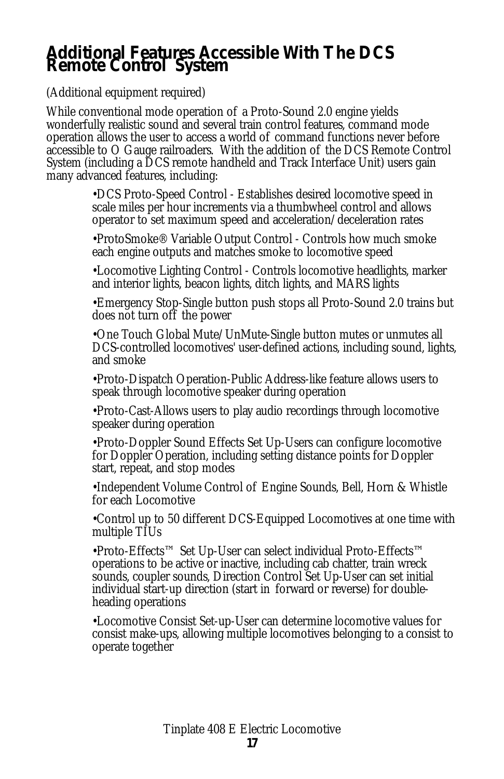#### *Additional Features Accessible With The DCS Remote Control System*

*(Additional equipment required)*

*While conventional mode operation of a Proto-Sound 2.0 engine yields wonderfully realistic sound and several train control features, command mode operation allows the user to access a world of command functions never before accessible to O Gauge railroaders. With the addition of the DCS Remote Control System (including a DCS remote handheld and Track Interface Unit) users gain many advanced features, including:*

> *•DCS Proto-Speed Control - Establishes desired locomotive speed in scale miles per hour increments via a thumbwheel control and allows operator to set maximum speed and acceleration/deceleration rates*

> *•ProtoSmoke® Variable Output Control - Controls how much smoke each engine outputs and matches smoke to locomotive speed*

*•Locomotive Lighting Control - Controls locomotive headlights, marker and interior lights, beacon lights, ditch lights, and MARS lights*

*•Emergency Stop-Single button push stops all Proto-Sound 2.0 trains but does not turn off the power*

*•One Touch Global Mute/UnMute-Single button mutes or unmutes all DCS-controlled locomotives' user-defined actions, including sound, lights, and smoke*

*•Proto-Dispatch Operation-Public Address-like feature allows users to speak through locomotive speaker during operation*

*•Proto-Cast-Allows users to play audio recordings through locomotive speaker during operation*

*•Proto-Doppler Sound Effects Set Up-Users can configure locomotive for Doppler Operation, including setting distance points for Doppler start, repeat, and stop modes*

*•Independent Volume Control of Engine Sounds, Bell, Horn & Whistle for each Locomotive*

*•Control up to 50 different DCS-Equipped Locomotives at one time with multiple TIUs*

*•Proto-Effects™ Set Up-User can select individual Proto-Effects™ operations to be active or inactive, including cab chatter, train wreck sounds, coupler sounds, Direction Control Set Up-User can set initial individual start-up direction (start in forward or reverse) for doubleheading operations*

*•Locomotive Consist Set-up-User can determine locomotive values for consist make-ups, allowing multiple locomotives belonging to a consist to operate together*